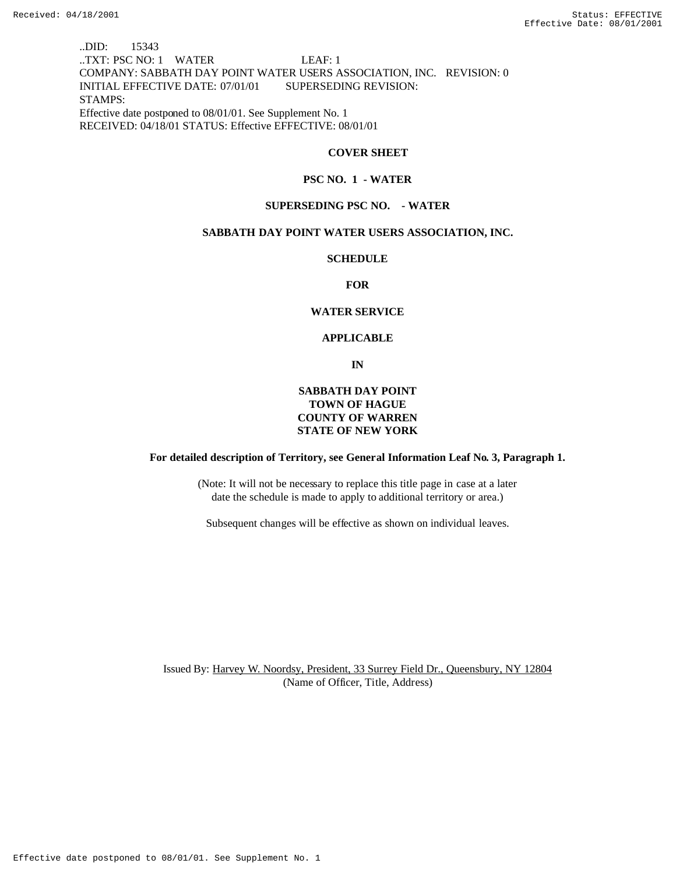..DID: 15343 ..TXT: PSC NO: 1 WATER LEAF: 1 COMPANY: SABBATH DAY POINT WATER USERS ASSOCIATION, INC. REVISION: 0 INITIAL EFFECTIVE DATE: 07/01/01 SUPERSEDING REVISION: STAMPS: Effective date postponed to 08/01/01. See Supplement No. 1 RECEIVED: 04/18/01 STATUS: Effective EFFECTIVE: 08/01/01

## **COVER SHEET**

#### **PSC NO. 1 - WATER**

#### **SUPERSEDING PSC NO. - WATER**

# **SABBATH DAY POINT WATER USERS ASSOCIATION, INC.**

#### **SCHEDULE**

**FOR**

#### **WATER SERVICE**

#### **APPLICABLE**

**IN**

# **SABBATH DAY POINT TOWN OF HAGUE COUNTY OF WARREN STATE OF NEW YORK**

#### **For detailed description of Territory, see General Information Leaf No. 3, Paragraph 1.**

(Note: It will not be necessary to replace this title page in case at a later date the schedule is made to apply to additional territory or area.)

Subsequent changes will be effective as shown on individual leaves.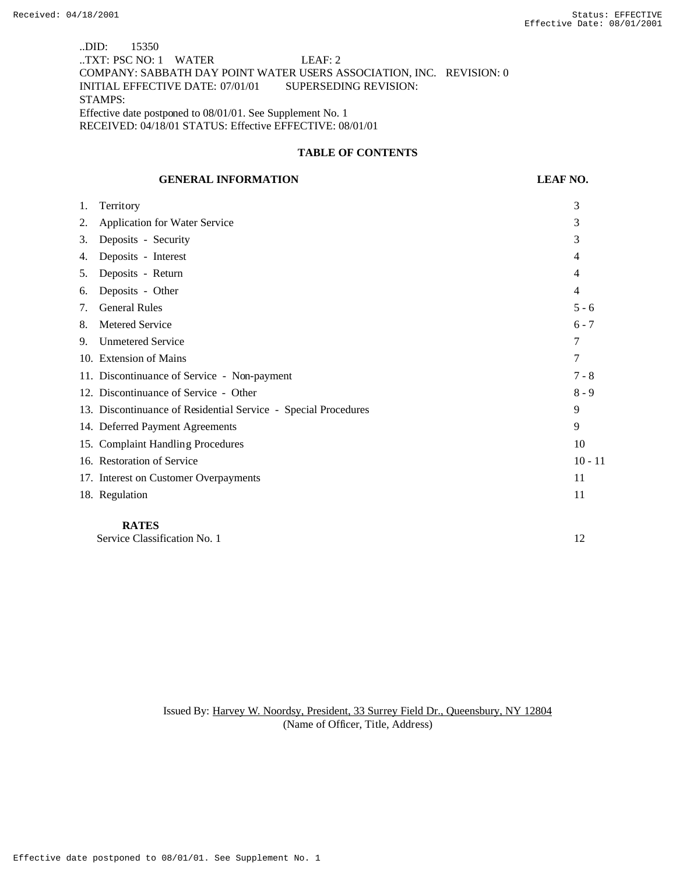..DID: 15350 ..TXT: PSC NO: 1 WATER LEAF: 2 COMPANY: SABBATH DAY POINT WATER USERS ASSOCIATION, INC. REVISION: 0 INITIAL EFFECTIVE DATE: 07/01/01 SUPERSEDING REVISION: STAMPS: Effective date postponed to 08/01/01. See Supplement No. 1 RECEIVED: 04/18/01 STATUS: Effective EFFECTIVE: 08/01/01

# **TABLE OF CONTENTS**

## **GENERAL INFORMATION LEAF NO.**

| 1. | Territory                                                      | 3         |
|----|----------------------------------------------------------------|-----------|
| 2. | <b>Application for Water Service</b>                           | 3         |
| 3. | Deposits - Security                                            | 3         |
| 4. | Deposits - Interest                                            | 4         |
| 5. | Deposits - Return                                              | 4         |
| 6. | Deposits - Other                                               | 4         |
| 7. | <b>General Rules</b>                                           | $5 - 6$   |
| 8. | Metered Service                                                | $6 - 7$   |
| 9. | <b>Unmetered Service</b>                                       | 7         |
|    | 10. Extension of Mains                                         | 7         |
|    | 11. Discontinuance of Service - Non-payment                    | $7 - 8$   |
|    | 12. Discontinuance of Service - Other                          | $8 - 9$   |
|    | 13. Discontinuance of Residential Service - Special Procedures | 9         |
|    | 14. Deferred Payment Agreements                                | 9         |
|    | 15. Complaint Handling Procedures                              | 10        |
|    | 16. Restoration of Service                                     | $10 - 11$ |
|    | 17. Interest on Customer Overpayments                          | 11        |
|    | 18. Regulation                                                 | 11        |
|    | <b>RATES</b>                                                   |           |

Service Classification No. 1 12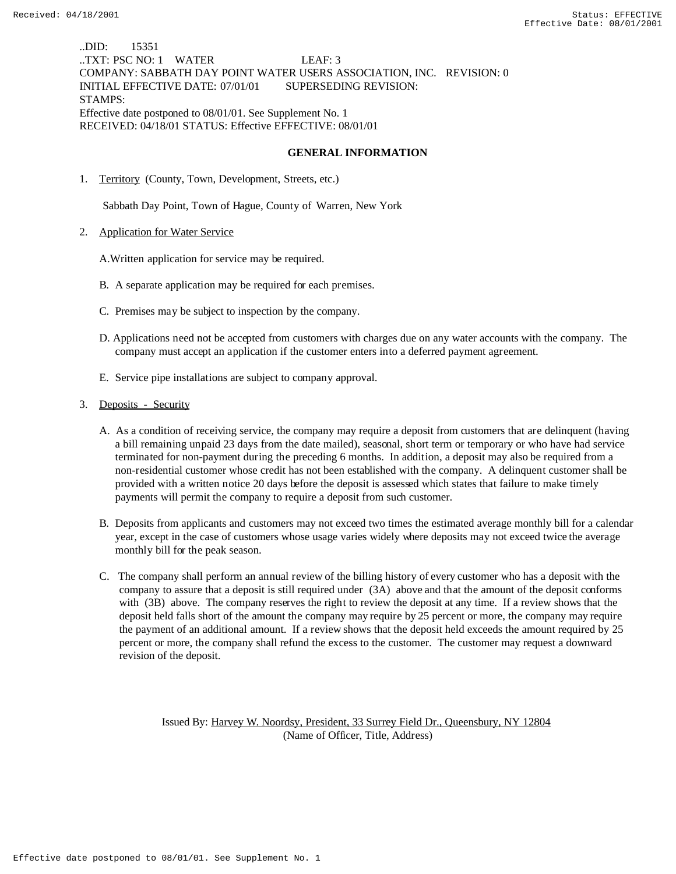..DID: 15351 ..TXT: PSC NO: 1 WATER LEAF: 3 COMPANY: SABBATH DAY POINT WATER USERS ASSOCIATION, INC. REVISION: 0 INITIAL EFFECTIVE DATE: 07/01/01 SUPERSEDING REVISION: STAMPS: Effective date postponed to 08/01/01. See Supplement No. 1 RECEIVED: 04/18/01 STATUS: Effective EFFECTIVE: 08/01/01

#### **GENERAL INFORMATION**

1. Territory (County, Town, Development, Streets, etc.)

Sabbath Day Point, Town of Hague, County of Warren, New York

2. Application for Water Service

A.Written application for service may be required.

- B. A separate application may be required for each premises.
- C. Premises may be subject to inspection by the company.
- D. Applications need not be accepted from customers with charges due on any water accounts with the company. The company must accept an application if the customer enters into a deferred payment agreement.
- E. Service pipe installations are subject to company approval.
- 3. Deposits Security
	- A. As a condition of receiving service, the company may require a deposit from customers that are delinquent (having a bill remaining unpaid 23 days from the date mailed), seasonal, short term or temporary or who have had service terminated for non-payment during the preceding 6 months. In addition, a deposit may also be required from a non-residential customer whose credit has not been established with the company. A delinquent customer shall be provided with a written notice 20 days before the deposit is assessed which states that failure to make timely payments will permit the company to require a deposit from such customer.
	- B. Deposits from applicants and customers may not exceed two times the estimated average monthly bill for a calendar year, except in the case of customers whose usage varies widely where deposits may not exceed twice the average monthly bill for the peak season.
	- C. The company shall perform an annual review of the billing history of every customer who has a deposit with the company to assure that a deposit is still required under (3A) above and that the amount of the deposit conforms with (3B) above. The company reserves the right to review the deposit at any time. If a review shows that the deposit held falls short of the amount the company may require by 25 percent or more, the company may require the payment of an additional amount. If a review shows that the deposit held exceeds the amount required by 25 percent or more, the company shall refund the excess to the customer. The customer may request a downward revision of the deposit.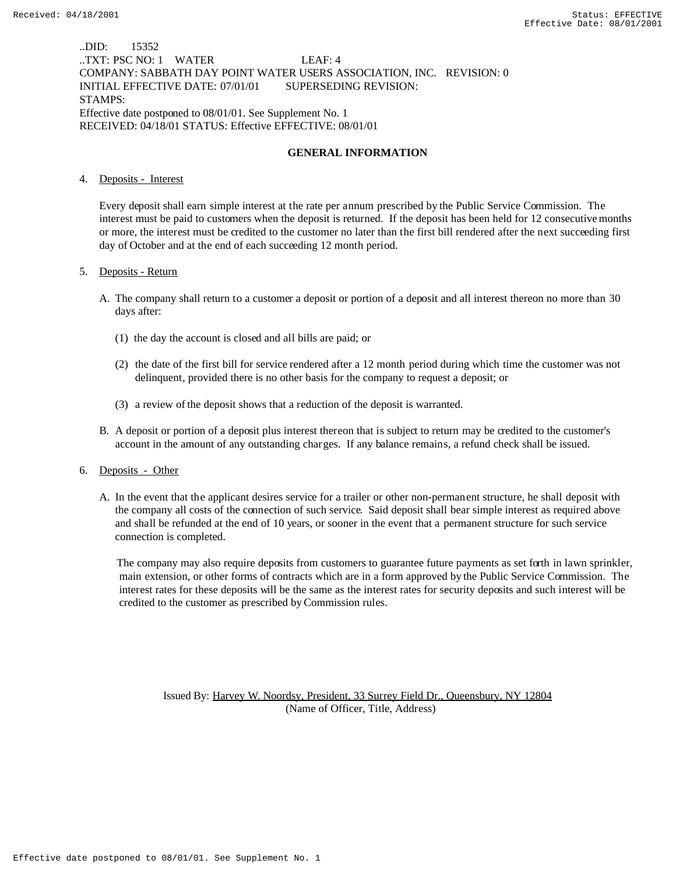..DID: 15352 ..TXT: PSC NO: 1 WATER LEAF: 4 COMPANY: SABBATH DAY POINT WATER USERS ASSOCIATION, INC. REVISION: 0 INITIAL EFFECTIVE DATE: 07/01/01 SUPERSEDING REVISION: STAMPS: Effective date postponed to 08/01/01. See Supplement No. 1 RECEIVED: 04/18/01 STATUS: Effective EFFECTIVE: 08/01/01

### **GENERAL INFORMATION**

#### 4. Deposits - Interest

Every deposit shall earn simple interest at the rate per annum prescribed by the Public Service Commission. The interest must be paid to customers when the deposit is returned. If the deposit has been held for 12 consecutive months or more, the interest must be credited to the customer no later than the first bill rendered after the next succeeding first day of October and at the end of each succeeding 12 month period.

#### 5. Deposits - Return

- A. The company shall return to a customer a deposit or portion of a deposit and all interest thereon no more than 30 days after:
	- (1) the day the account is closed and all bills are paid; or
	- (2) the date of the first bill for service rendered after a 12 month period during which time the customer was not delinquent, provided there is no other basis for the company to request a deposit; or
	- (3) a review of the deposit shows that a reduction of the deposit is warranted.
- B. A deposit or portion of a deposit plus interest thereon that is subject to return may be credited to the customer's account in the amount of any outstanding charges. If any balance remains, a refund check shall be issued.

### 6. Deposits - Other

A. In the event that the applicant desires service for a trailer or other non-permanent structure, he shall deposit with the company all costs of the connection of such service. Said deposit shall bear simple interest as required above and shall be refunded at the end of 10 years, or sooner in the event that a permanent structure for such service connection is completed.

 The company may also require deposits from customers to guarantee future payments as set forth in lawn sprinkler, main extension, or other forms of contracts which are in a form approved by the Public Service Commission. The interest rates for these deposits will be the same as the interest rates for security deposits and such interest will be credited to the customer as prescribed by Commission rules.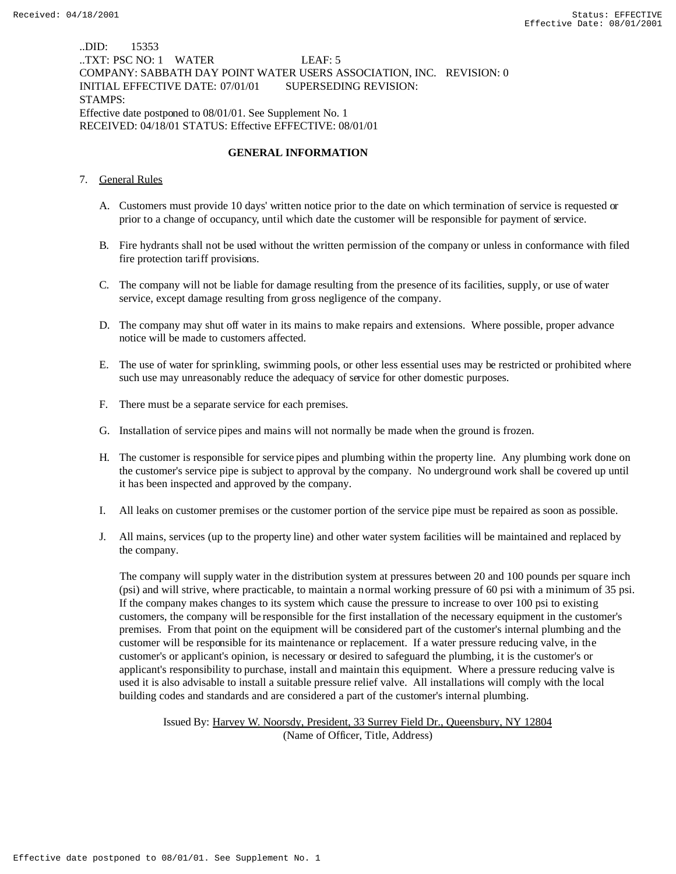..DID: 15353 ..TXT: PSC NO: 1 WATER LEAF: 5 COMPANY: SABBATH DAY POINT WATER USERS ASSOCIATION, INC. REVISION: 0 INITIAL EFFECTIVE DATE: 07/01/01 SUPERSEDING REVISION: STAMPS: Effective date postponed to 08/01/01. See Supplement No. 1 RECEIVED: 04/18/01 STATUS: Effective EFFECTIVE: 08/01/01

## **GENERAL INFORMATION**

## 7. General Rules

- A. Customers must provide 10 days' written notice prior to the date on which termination of service is requested or prior to a change of occupancy, until which date the customer will be responsible for payment of service.
- B. Fire hydrants shall not be used without the written permission of the company or unless in conformance with filed fire protection tariff provisions.
- C. The company will not be liable for damage resulting from the presence of its facilities, supply, or use of water service, except damage resulting from gross negligence of the company.
- D. The company may shut off water in its mains to make repairs and extensions. Where possible, proper advance notice will be made to customers affected.
- E. The use of water for sprinkling, swimming pools, or other less essential uses may be restricted or prohibited where such use may unreasonably reduce the adequacy of service for other domestic purposes.
- F. There must be a separate service for each premises.
- G. Installation of service pipes and mains will not normally be made when the ground is frozen.
- H. The customer is responsible for service pipes and plumbing within the property line. Any plumbing work done on the customer's service pipe is subject to approval by the company. No underground work shall be covered up until it has been inspected and approved by the company.
- I. All leaks on customer premises or the customer portion of the service pipe must be repaired as soon as possible.
- J. All mains, services (up to the property line) and other water system facilities will be maintained and replaced by the company.

 The company will supply water in the distribution system at pressures between 20 and 100 pounds per square inch (psi) and will strive, where practicable, to maintain a normal working pressure of 60 psi with a minimum of 35 psi. If the company makes changes to its system which cause the pressure to increase to over 100 psi to existing customers, the company will be responsible for the first installation of the necessary equipment in the customer's premises. From that point on the equipment will be considered part of the customer's internal plumbing and the customer will be responsible for its maintenance or replacement. If a water pressure reducing valve, in the customer's or applicant's opinion, is necessary or desired to safeguard the plumbing, it is the customer's or applicant's responsibility to purchase, install and maintain this equipment. Where a pressure reducing valve is used it is also advisable to install a suitable pressure relief valve. All installations will comply with the local building codes and standards and are considered a part of the customer's internal plumbing.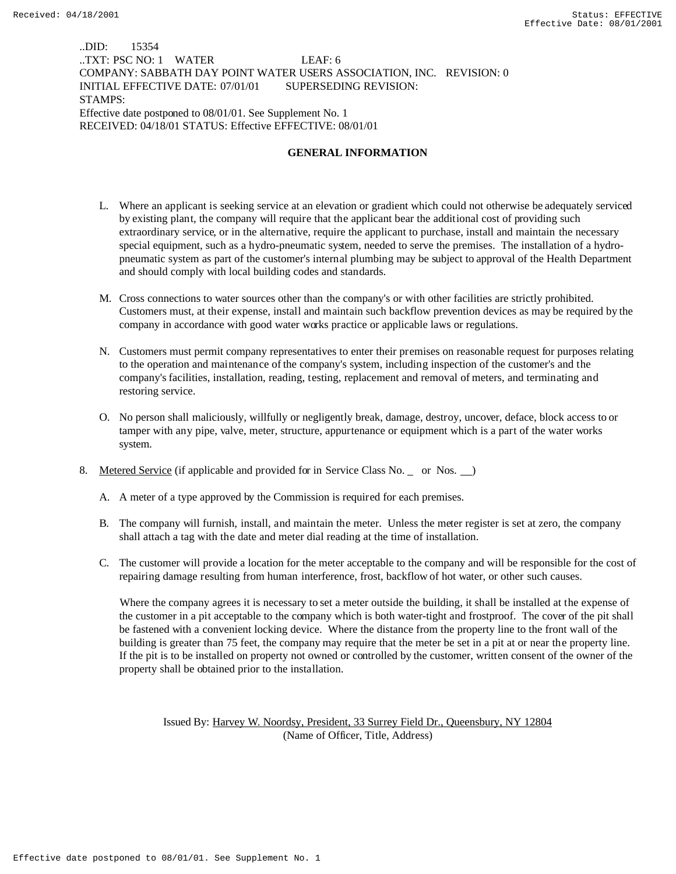..DID: 15354 ..TXT: PSC NO: 1 WATER LEAF: 6 COMPANY: SABBATH DAY POINT WATER USERS ASSOCIATION, INC. REVISION: 0 INITIAL EFFECTIVE DATE: 07/01/01 SUPERSEDING REVISION: STAMPS: Effective date postponed to 08/01/01. See Supplement No. 1 RECEIVED: 04/18/01 STATUS: Effective EFFECTIVE: 08/01/01

### **GENERAL INFORMATION**

- L. Where an applicant is seeking service at an elevation or gradient which could not otherwise be adequately serviced by existing plant, the company will require that the applicant bear the additional cost of providing such extraordinary service, or in the alternative, require the applicant to purchase, install and maintain the necessary special equipment, such as a hydro-pneumatic system, needed to serve the premises. The installation of a hydropneumatic system as part of the customer's internal plumbing may be subject to approval of the Health Department and should comply with local building codes and standards.
- M. Cross connections to water sources other than the company's or with other facilities are strictly prohibited. Customers must, at their expense, install and maintain such backflow prevention devices as may be required by the company in accordance with good water works practice or applicable laws or regulations.
- N. Customers must permit company representatives to enter their premises on reasonable request for purposes relating to the operation and maintenance of the company's system, including inspection of the customer's and the company's facilities, installation, reading, testing, replacement and removal of meters, and terminating and restoring service.
- O. No person shall maliciously, willfully or negligently break, damage, destroy, uncover, deface, block access to or tamper with any pipe, valve, meter, structure, appurtenance or equipment which is a part of the water works system.
- 8. Metered Service (if applicable and provided for in Service Class No. or Nos. )
	- A. A meter of a type approved by the Commission is required for each premises.
	- B. The company will furnish, install, and maintain the meter. Unless the meter register is set at zero, the company shall attach a tag with the date and meter dial reading at the time of installation.
	- C. The customer will provide a location for the meter acceptable to the company and will be responsible for the cost of repairing damage resulting from human interference, frost, backflow of hot water, or other such causes.

 Where the company agrees it is necessary to set a meter outside the building, it shall be installed at the expense of the customer in a pit acceptable to the company which is both water-tight and frostproof. The cover of the pit shall be fastened with a convenient locking device. Where the distance from the property line to the front wall of the building is greater than 75 feet, the company may require that the meter be set in a pit at or near the property line. If the pit is to be installed on property not owned or controlled by the customer, written consent of the owner of the property shall be obtained prior to the installation.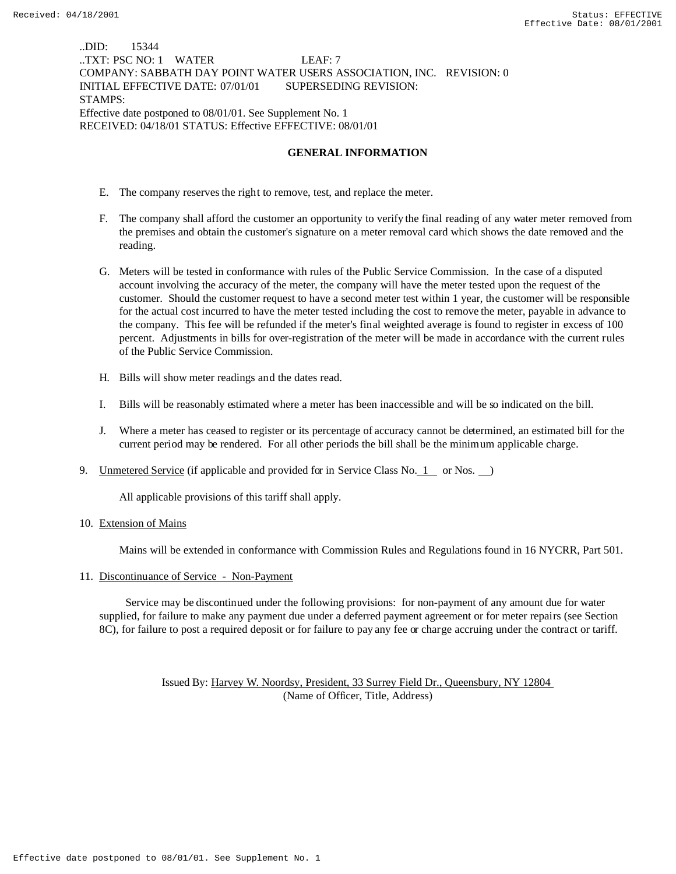..DID: 15344 ..TXT: PSC NO: 1 WATER LEAF: 7 COMPANY: SABBATH DAY POINT WATER USERS ASSOCIATION, INC. REVISION: 0 INITIAL EFFECTIVE DATE: 07/01/01 SUPERSEDING REVISION: STAMPS: Effective date postponed to 08/01/01. See Supplement No. 1 RECEIVED: 04/18/01 STATUS: Effective EFFECTIVE: 08/01/01

### **GENERAL INFORMATION**

- E. The company reserves the right to remove, test, and replace the meter.
- F. The company shall afford the customer an opportunity to verify the final reading of any water meter removed from the premises and obtain the customer's signature on a meter removal card which shows the date removed and the reading.
- G. Meters will be tested in conformance with rules of the Public Service Commission. In the case of a disputed account involving the accuracy of the meter, the company will have the meter tested upon the request of the customer. Should the customer request to have a second meter test within 1 year, the customer will be responsible for the actual cost incurred to have the meter tested including the cost to remove the meter, payable in advance to the company. This fee will be refunded if the meter's final weighted average is found to register in excess of 100 percent. Adjustments in bills for over-registration of the meter will be made in accordance with the current rules of the Public Service Commission.
- H. Bills will show meter readings and the dates read.
- I. Bills will be reasonably estimated where a meter has been inaccessible and will be so indicated on the bill.
- J. Where a meter has ceased to register or its percentage of accuracy cannot be determined, an estimated bill for the current period may be rendered. For all other periods the bill shall be the minimum applicable charge.
- 9. Unmetered Service (if applicable and provided for in Service Class No. 1 or Nos. )

All applicable provisions of this tariff shall apply.

10. Extension of Mains

Mains will be extended in conformance with Commission Rules and Regulations found in 16 NYCRR, Part 501.

11. Discontinuance of Service - Non-Payment

 Service may be discontinued under the following provisions: for non-payment of any amount due for water supplied, for failure to make any payment due under a deferred payment agreement or for meter repairs (see Section 8C), for failure to post a required deposit or for failure to pay any fee or charge accruing under the contract or tariff.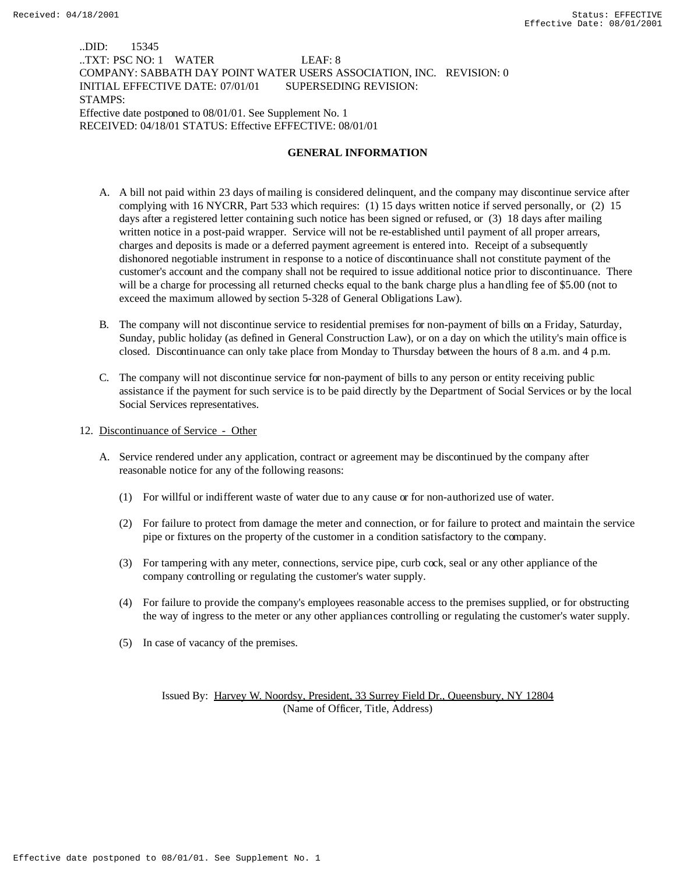..DID: 15345 ..TXT: PSC NO: 1 WATER LEAF: 8 COMPANY: SABBATH DAY POINT WATER USERS ASSOCIATION, INC. REVISION: 0 INITIAL EFFECTIVE DATE: 07/01/01 SUPERSEDING REVISION: STAMPS: Effective date postponed to 08/01/01. See Supplement No. 1 RECEIVED: 04/18/01 STATUS: Effective EFFECTIVE: 08/01/01

#### **GENERAL INFORMATION**

- A. A bill not paid within 23 days of mailing is considered delinquent, and the company may discontinue service after complying with 16 NYCRR, Part 533 which requires: (1) 15 days written notice if served personally, or (2) 15 days after a registered letter containing such notice has been signed or refused, or (3) 18 days after mailing written notice in a post-paid wrapper. Service will not be re-established until payment of all proper arrears, charges and deposits is made or a deferred payment agreement is entered into. Receipt of a subsequently dishonored negotiable instrument in response to a notice of discontinuance shall not constitute payment of the customer's account and the company shall not be required to issue additional notice prior to discontinuance. There will be a charge for processing all returned checks equal to the bank charge plus a handling fee of \$5.00 (not to exceed the maximum allowed by section 5-328 of General Obligations Law).
- B. The company will not discontinue service to residential premises for non-payment of bills on a Friday, Saturday, Sunday, public holiday (as defined in General Construction Law), or on a day on which the utility's main office is closed. Discontinuance can only take place from Monday to Thursday between the hours of 8 a.m. and 4 p.m.
- C. The company will not discontinue service for non-payment of bills to any person or entity receiving public assistance if the payment for such service is to be paid directly by the Department of Social Services or by the local Social Services representatives.
- 12. Discontinuance of Service Other
	- A. Service rendered under any application, contract or agreement may be discontinued by the company after reasonable notice for any of the following reasons:
		- (1) For willful or indifferent waste of water due to any cause or for non-authorized use of water.
		- (2) For failure to protect from damage the meter and connection, or for failure to protect and maintain the service pipe or fixtures on the property of the customer in a condition satisfactory to the company.
		- (3) For tampering with any meter, connections, service pipe, curb cock, seal or any other appliance of the company controlling or regulating the customer's water supply.
		- (4) For failure to provide the company's employees reasonable access to the premises supplied, or for obstructing the way of ingress to the meter or any other appliances controlling or regulating the customer's water supply.
		- (5) In case of vacancy of the premises.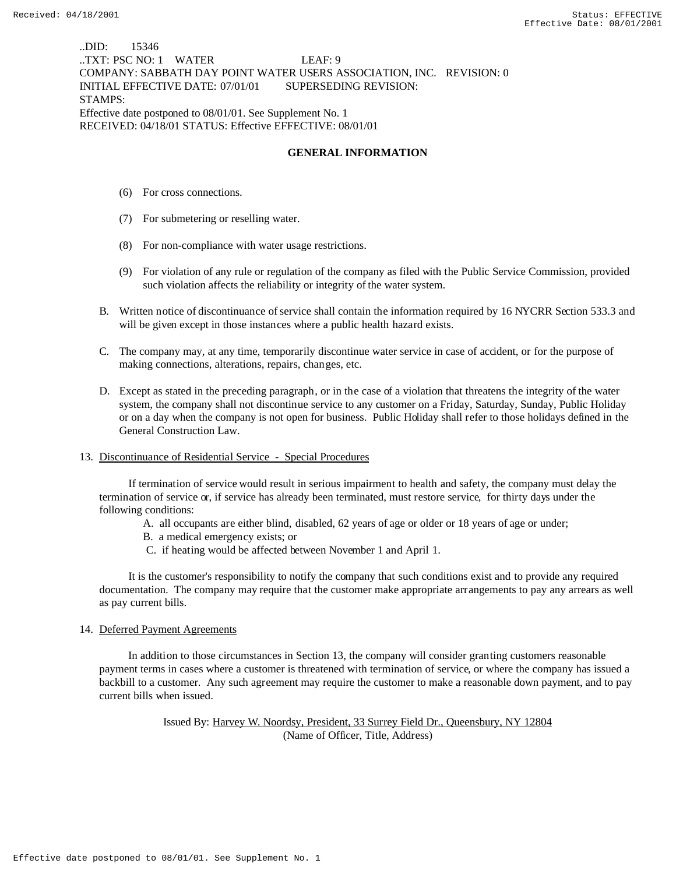..DID: 15346 ..TXT: PSC NO: 1 WATER LEAF: 9 COMPANY: SABBATH DAY POINT WATER USERS ASSOCIATION, INC. REVISION: 0 INITIAL EFFECTIVE DATE: 07/01/01 SUPERSEDING REVISION: STAMPS: Effective date postponed to 08/01/01. See Supplement No. 1 RECEIVED: 04/18/01 STATUS: Effective EFFECTIVE: 08/01/01

### **GENERAL INFORMATION**

- (6) For cross connections.
- (7) For submetering or reselling water.
- (8) For non-compliance with water usage restrictions.
- (9) For violation of any rule or regulation of the company as filed with the Public Service Commission, provided such violation affects the reliability or integrity of the water system.
- B. Written notice of discontinuance of service shall contain the information required by 16 NYCRR Section 533.3 and will be given except in those instances where a public health hazard exists.
- C. The company may, at any time, temporarily discontinue water service in case of accident, or for the purpose of making connections, alterations, repairs, changes, etc.
- D. Except as stated in the preceding paragraph, or in the case of a violation that threatens the integrity of the water system, the company shall not discontinue service to any customer on a Friday, Saturday, Sunday, Public Holiday or on a day when the company is not open for business. Public Holiday shall refer to those holidays defined in the General Construction Law.

#### 13. Discontinuance of Residential Service - Special Procedures

 If termination of service would result in serious impairment to health and safety, the company must delay the termination of service or, if service has already been terminated, must restore service, for thirty days under the following conditions:

- A. all occupants are either blind, disabled, 62 years of age or older or 18 years of age or under;
- B. a medical emergency exists; or
- C. if heating would be affected between November 1 and April 1.

 It is the customer's responsibility to notify the company that such conditions exist and to provide any required documentation. The company may require that the customer make appropriate arrangements to pay any arrears as well as pay current bills.

#### 14. Deferred Payment Agreements

 In addition to those circumstances in Section 13, the company will consider granting customers reasonable payment terms in cases where a customer is threatened with termination of service, or where the company has issued a backbill to a customer. Any such agreement may require the customer to make a reasonable down payment, and to pay current bills when issued.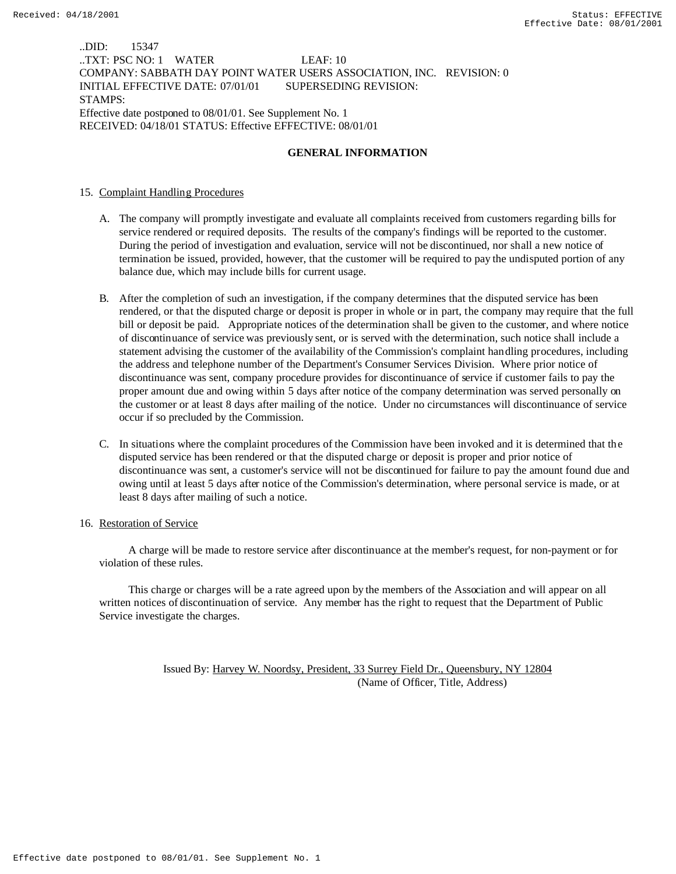..DID: 15347 ..TXT: PSC NO: 1 WATER LEAF: 10 COMPANY: SABBATH DAY POINT WATER USERS ASSOCIATION, INC. REVISION: 0 INITIAL EFFECTIVE DATE: 07/01/01 SUPERSEDING REVISION: STAMPS: Effective date postponed to 08/01/01. See Supplement No. 1 RECEIVED: 04/18/01 STATUS: Effective EFFECTIVE: 08/01/01

## **GENERAL INFORMATION**

## 15. Complaint Handling Procedures

- A. The company will promptly investigate and evaluate all complaints received from customers regarding bills for service rendered or required deposits. The results of the company's findings will be reported to the customer. During the period of investigation and evaluation, service will not be discontinued, nor shall a new notice of termination be issued, provided, however, that the customer will be required to pay the undisputed portion of any balance due, which may include bills for current usage.
- B. After the completion of such an investigation, if the company determines that the disputed service has been rendered, or that the disputed charge or deposit is proper in whole or in part, the company may require that the full bill or deposit be paid. Appropriate notices of the determination shall be given to the customer, and where notice of discontinuance of service was previously sent, or is served with the determination, such notice shall include a statement advising the customer of the availability of the Commission's complaint handling procedures, including the address and telephone number of the Department's Consumer Services Division. Where prior notice of discontinuance was sent, company procedure provides for discontinuance of service if customer fails to pay the proper amount due and owing within 5 days after notice of the company determination was served personally on the customer or at least 8 days after mailing of the notice. Under no circumstances will discontinuance of service occur if so precluded by the Commission.
- C. In situations where the complaint procedures of the Commission have been invoked and it is determined that the disputed service has been rendered or that the disputed charge or deposit is proper and prior notice of discontinuance was sent, a customer's service will not be discontinued for failure to pay the amount found due and owing until at least 5 days after notice of the Commission's determination, where personal service is made, or at least 8 days after mailing of such a notice.

### 16. Restoration of Service

 A charge will be made to restore service after discontinuance at the member's request, for non-payment or for violation of these rules.

 This charge or charges will be a rate agreed upon by the members of the Association and will appear on all written notices of discontinuation of service. Any member has the right to request that the Department of Public Service investigate the charges.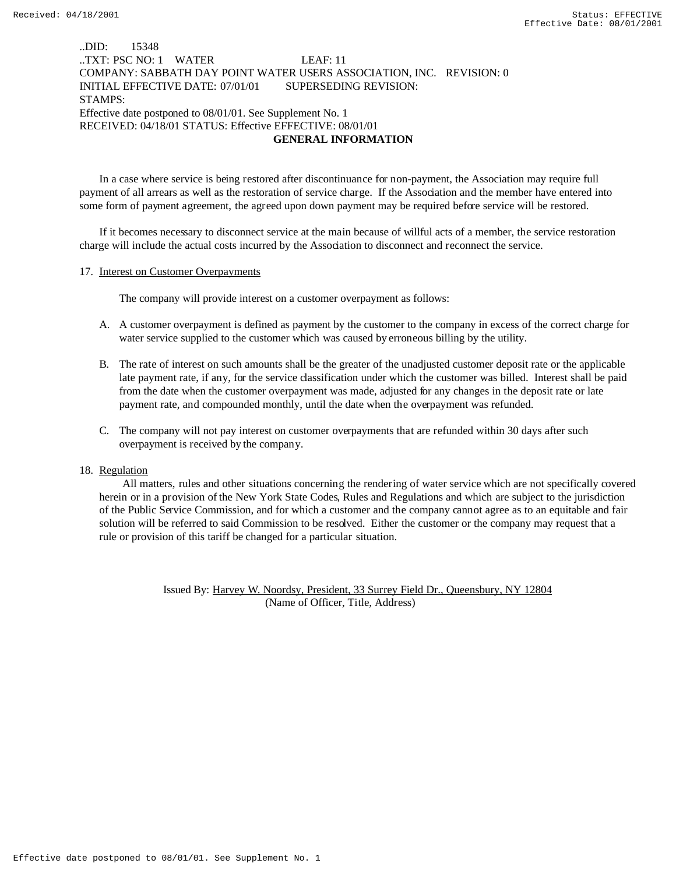# ..DID: 15348 ..TXT: PSC NO: 1 WATER LEAF: 11 COMPANY: SABBATH DAY POINT WATER USERS ASSOCIATION, INC. REVISION: 0 INITIAL EFFECTIVE DATE: 07/01/01 SUPERSEDING REVISION: STAMPS: Effective date postponed to 08/01/01. See Supplement No. 1 RECEIVED: 04/18/01 STATUS: Effective EFFECTIVE: 08/01/01  **GENERAL INFORMATION**

In a case where service is being restored after discontinuance for non-payment, the Association may require full payment of all arrears as well as the restoration of service charge. If the Association and the member have entered into some form of payment agreement, the agreed upon down payment may be required before service will be restored.

If it becomes necessary to disconnect service at the main because of willful acts of a member, the service restoration charge will include the actual costs incurred by the Association to disconnect and reconnect the service.

## 17. Interest on Customer Overpayments

The company will provide interest on a customer overpayment as follows:

- A. A customer overpayment is defined as payment by the customer to the company in excess of the correct charge for water service supplied to the customer which was caused by erroneous billing by the utility.
- B. The rate of interest on such amounts shall be the greater of the unadjusted customer deposit rate or the applicable late payment rate, if any, for the service classification under which the customer was billed. Interest shall be paid from the date when the customer overpayment was made, adjusted for any changes in the deposit rate or late payment rate, and compounded monthly, until the date when the overpayment was refunded.
- C. The company will not pay interest on customer overpayments that are refunded within 30 days after such overpayment is received by the company.

#### 18. Regulation

 All matters, rules and other situations concerning the rendering of water service which are not specifically covered herein or in a provision of the New York State Codes, Rules and Regulations and which are subject to the jurisdiction of the Public Service Commission, and for which a customer and the company cannot agree as to an equitable and fair solution will be referred to said Commission to be resolved. Either the customer or the company may request that a rule or provision of this tariff be changed for a particular situation.